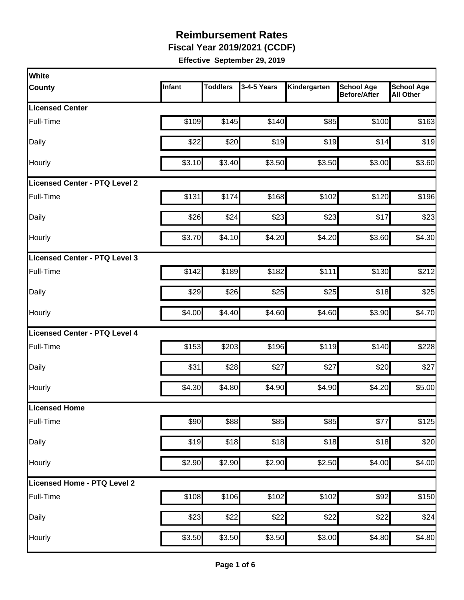**Fiscal Year 2019/2021 (CCDF)** 

| Infant | <b>Toddlers</b> | 3-4-5 Years | Kindergarten                                                                                                                                  | <b>School Age</b><br><b>Before/After</b> | <b>School Age</b><br><b>All Other</b>                                           |
|--------|-----------------|-------------|-----------------------------------------------------------------------------------------------------------------------------------------------|------------------------------------------|---------------------------------------------------------------------------------|
|        |                 |             |                                                                                                                                               |                                          |                                                                                 |
| \$109  |                 | \$140       | \$85                                                                                                                                          | \$100                                    | \$163                                                                           |
| \$22   |                 | \$19        |                                                                                                                                               | \$14                                     | \$19                                                                            |
| \$3.10 |                 | \$3.50      |                                                                                                                                               | \$3.00                                   | \$3.60                                                                          |
|        |                 |             |                                                                                                                                               |                                          |                                                                                 |
| \$131  |                 | \$168       | \$102                                                                                                                                         | \$120                                    | \$196                                                                           |
| \$26   | \$24            | \$23        | \$23                                                                                                                                          | \$17                                     | \$23                                                                            |
| \$3.70 |                 | \$4.20      |                                                                                                                                               | \$3.60                                   | \$4.30                                                                          |
|        |                 |             |                                                                                                                                               |                                          |                                                                                 |
| \$142  |                 | \$182       | \$111                                                                                                                                         | \$130                                    | \$212                                                                           |
| \$29   |                 | \$25        |                                                                                                                                               | \$18                                     | \$25                                                                            |
| \$4.00 |                 | \$4.60      | \$4.60                                                                                                                                        | \$3.90                                   | \$4.70                                                                          |
|        |                 |             |                                                                                                                                               |                                          |                                                                                 |
| \$153  |                 | \$196       |                                                                                                                                               | \$140                                    | \$228                                                                           |
| \$31   |                 | \$27        | \$27                                                                                                                                          | \$20                                     | \$27                                                                            |
| \$4.30 |                 | \$4.90      |                                                                                                                                               | \$4.20                                   | \$5.00                                                                          |
|        |                 |             |                                                                                                                                               |                                          |                                                                                 |
| \$90   |                 | \$85        | \$85                                                                                                                                          | \$77                                     | \$125                                                                           |
| \$19   |                 | \$18        |                                                                                                                                               | \$18                                     | \$20                                                                            |
| \$2.90 |                 | \$2.90      |                                                                                                                                               | \$4.00                                   | \$4.00                                                                          |
|        |                 |             |                                                                                                                                               |                                          |                                                                                 |
| \$108  |                 | \$102       | \$102                                                                                                                                         | \$92                                     | \$150                                                                           |
| \$23   | \$22            | \$22        | \$22                                                                                                                                          | \$22                                     | \$24                                                                            |
|        |                 | \$3.50      |                                                                                                                                               | \$4.80                                   | \$4.80                                                                          |
|        |                 | \$3.50      | \$145<br>\$20<br>\$3.40<br>\$174<br>\$4.10<br>\$189<br>\$26<br>\$4.40<br>\$203<br>\$28<br>\$4.80<br>\$88<br>\$18<br>\$2.90<br>\$106<br>\$3.50 |                                          | \$19<br>\$3.50<br>\$4.20<br>\$25<br>\$119<br>\$4.90<br>\$18<br>\$2.50<br>\$3.00 |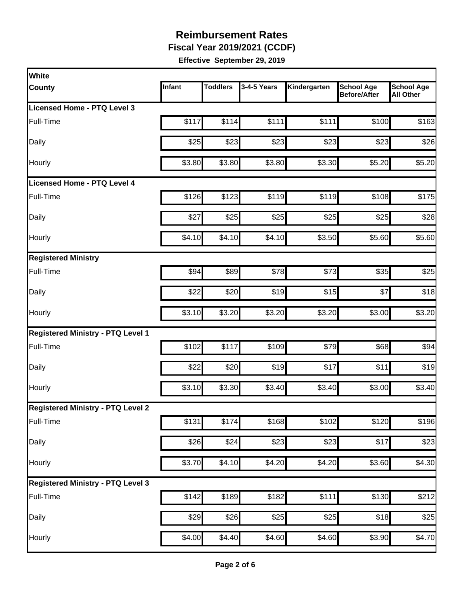**Fiscal Year 2019/2021 (CCDF)** 

| <b>White</b>                             |        |                 |                  |                    |                                          |                                       |
|------------------------------------------|--------|-----------------|------------------|--------------------|------------------------------------------|---------------------------------------|
| <b>County</b>                            | Infant | <b>Toddlers</b> | 3-4-5 Years      | Kindergarten       | <b>School Age</b><br><b>Before/After</b> | <b>School Age</b><br><b>All Other</b> |
| <b>Licensed Home - PTQ Level 3</b>       |        |                 |                  |                    |                                          |                                       |
| Full-Time                                | \$117  | \$114           | \$111            | \$111              | \$100                                    | \$163                                 |
| Daily                                    | \$25   | \$23            | \$23             | \$23               | \$23                                     | \$26                                  |
| Hourly                                   | \$3.80 | \$3.80          | \$3.80           | \$3.30             | \$5.20                                   | \$5.20                                |
| Licensed Home - PTQ Level 4              |        |                 |                  |                    |                                          |                                       |
| Full-Time                                | \$126  | \$123           | \$119            | \$119              | \$108                                    | \$175                                 |
| Daily                                    | \$27   | \$25            | \$25             | \$25               | \$25                                     | \$28                                  |
| Hourly                                   | \$4.10 | \$4.10          | \$4.10           | \$3.50             | \$5.60                                   | \$5.60                                |
| <b>Registered Ministry</b>               |        |                 |                  |                    |                                          |                                       |
| Full-Time                                | \$94   | \$89            | \$78             | \$73               | \$35                                     | \$25                                  |
| Daily                                    | \$22   | \$20            | \$19             | \$15               | \$7                                      | \$18                                  |
| Hourly                                   | \$3.10 | \$3.20          | \$3.20           | \$3.20             | \$3.00                                   | \$3.20                                |
| <b>Registered Ministry - PTQ Level 1</b> |        |                 |                  |                    |                                          |                                       |
| Full-Time                                | \$102  | \$117           | \$109            | \$79               | \$68                                     | \$94                                  |
| Daily                                    | \$22   | \$20            | \$19             | \$17               | \$11                                     | \$19                                  |
| Hourly                                   | \$3.10 | \$3.30          | \$3.40           | \$3.40             | \$3.00                                   | \$3.40                                |
| <b>Registered Ministry - PTQ Level 2</b> |        |                 |                  |                    |                                          |                                       |
| Full-Time                                | \$131  | \$174           | \$168            | \$102              | \$120                                    | \$196                                 |
| Daily                                    | \$26   | \$24            | $\overline{$}23$ | \$23               | \$17                                     | \$23                                  |
| Hourly                                   | \$3.70 | \$4.10          | \$4.20           | \$4.20             | \$3.60                                   | \$4.30                                |
| <b>Registered Ministry - PTQ Level 3</b> |        |                 |                  |                    |                                          |                                       |
| Full-Time                                | \$142  | \$189           | \$182            | \$111              | \$130                                    | \$212                                 |
| Daily                                    | \$29   | \$26            | \$25             | \$25               | \$18                                     | \$25                                  |
| Hourly                                   | \$4.00 | \$4.40          | \$4.60           | $\overline{$4.60}$ | \$3.90                                   | \$4.70                                |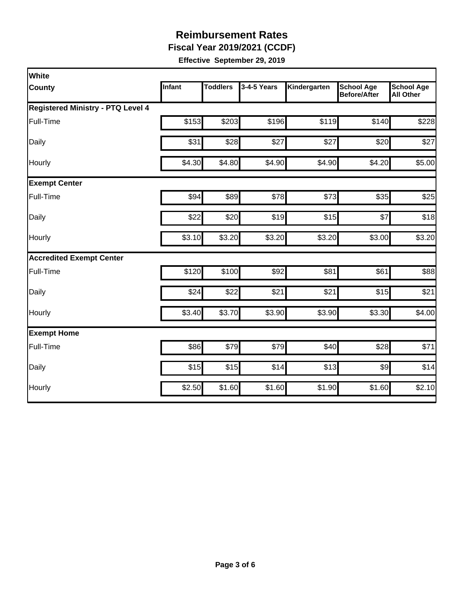**Fiscal Year 2019/2021 (CCDF)** 

| White                                    |        |                 |             |              |                                          |                                       |  |  |  |
|------------------------------------------|--------|-----------------|-------------|--------------|------------------------------------------|---------------------------------------|--|--|--|
| <b>County</b>                            | Infant | <b>Toddlers</b> | 3-4-5 Years | Kindergarten | <b>School Age</b><br><b>Before/After</b> | <b>School Age</b><br><b>All Other</b> |  |  |  |
| <b>Registered Ministry - PTQ Level 4</b> |        |                 |             |              |                                          |                                       |  |  |  |
| Full-Time                                | \$153  | \$203           | \$196       | \$119        | \$140                                    | \$228                                 |  |  |  |
| Daily                                    | \$31   | \$28            | \$27        | \$27         | \$20                                     | \$27                                  |  |  |  |
| Hourly                                   | \$4.30 | \$4.80          | \$4.90      | \$4.90       | \$4.20                                   | \$5.00                                |  |  |  |
| <b>Exempt Center</b>                     |        |                 |             |              |                                          |                                       |  |  |  |
| Full-Time                                | \$94   | \$89            | \$78        | \$73         | \$35                                     | \$25                                  |  |  |  |
| Daily                                    | \$22   | \$20            | \$19        | \$15         | \$7                                      | \$18                                  |  |  |  |
| Hourly                                   | \$3.10 | \$3.20          | \$3.20      | \$3.20       | \$3.00                                   | \$3.20                                |  |  |  |
| <b>Accredited Exempt Center</b>          |        |                 |             |              |                                          |                                       |  |  |  |
| Full-Time                                | \$120  | \$100           | \$92        | \$81         | \$61                                     | \$88                                  |  |  |  |
| Daily                                    | \$24   | \$22            | \$21        | \$21         | \$15                                     | \$21                                  |  |  |  |
| Hourly                                   | \$3.40 | \$3.70          | \$3.90      | \$3.90       | \$3.30                                   | \$4.00                                |  |  |  |
| <b>Exempt Home</b>                       |        |                 |             |              |                                          |                                       |  |  |  |
| Full-Time                                | \$86   | \$79            | \$79        | \$40         | \$28                                     | \$71                                  |  |  |  |
| Daily                                    | \$15   | \$15            | \$14        | \$13         | $\frac{1}{2}$                            | \$14                                  |  |  |  |
| Hourly                                   | \$2.50 | \$1.60          | \$1.60      | \$1.90       | \$1.60                                   | \$2.10                                |  |  |  |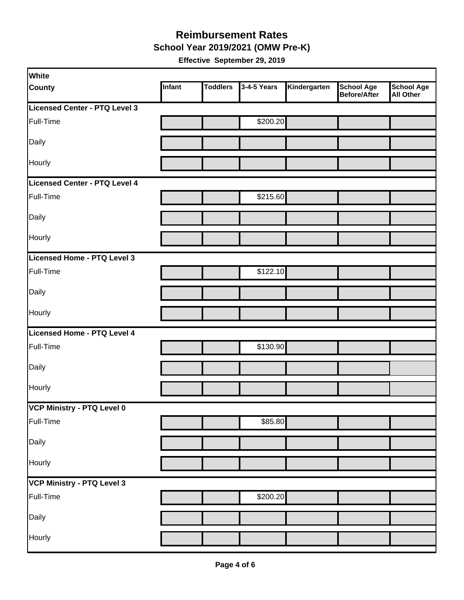#### **Reimbursement Rates School Year 2019/2021 (OMW Pre-K)**

| <b>White</b>                  |        |                 |             |              |                                          |                                       |
|-------------------------------|--------|-----------------|-------------|--------------|------------------------------------------|---------------------------------------|
| <b>County</b>                 | Infant | <b>Toddlers</b> | 3-4-5 Years | Kindergarten | <b>School Age</b><br><b>Before/After</b> | <b>School Age</b><br><b>All Other</b> |
| Licensed Center - PTQ Level 3 |        |                 |             |              |                                          |                                       |
| Full-Time                     |        |                 | \$200.20    |              |                                          |                                       |
| Daily                         |        |                 |             |              |                                          |                                       |
| Hourly                        |        |                 |             |              |                                          |                                       |
| Licensed Center - PTQ Level 4 |        |                 |             |              |                                          |                                       |
| Full-Time                     |        |                 | \$215.60    |              |                                          |                                       |
| Daily                         |        |                 |             |              |                                          |                                       |
| Hourly                        |        |                 |             |              |                                          |                                       |
| Licensed Home - PTQ Level 3   |        |                 |             |              |                                          |                                       |
| Full-Time                     |        |                 | \$122.10    |              |                                          |                                       |
| Daily                         |        |                 |             |              |                                          |                                       |
| Hourly                        |        |                 |             |              |                                          |                                       |
| Licensed Home - PTQ Level 4   |        |                 |             |              |                                          |                                       |
| Full-Time                     |        |                 | \$130.90    |              |                                          |                                       |
| Daily                         |        |                 |             |              |                                          |                                       |
| Hourly                        |        |                 |             |              |                                          |                                       |
| VCP Ministry - PTQ Level 0    |        |                 |             |              |                                          |                                       |
| Full-Time                     |        |                 | \$85.80     |              |                                          |                                       |
| Daily                         |        |                 |             |              |                                          |                                       |
| Hourly                        |        |                 |             |              |                                          |                                       |
| VCP Ministry - PTQ Level 3    |        |                 |             |              |                                          |                                       |
| Full-Time                     |        |                 | \$200.20    |              |                                          |                                       |
| Daily                         |        |                 |             |              |                                          |                                       |
| Hourly                        |        |                 |             |              |                                          |                                       |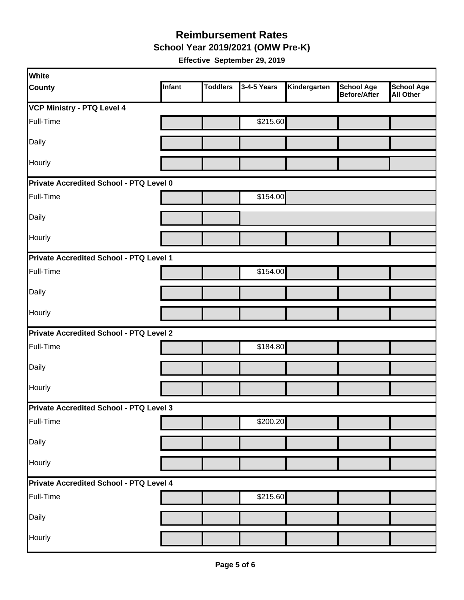**School Year 2019/2021 (OMW Pre-K)** 

| White                                   |        |                 |             |              |                                   |                                       |
|-----------------------------------------|--------|-----------------|-------------|--------------|-----------------------------------|---------------------------------------|
| <b>County</b>                           | Infant | <b>Toddlers</b> | 3-4-5 Years | Kindergarten | <b>School Age</b><br>Before/After | <b>School Age</b><br><b>All Other</b> |
| VCP Ministry - PTQ Level 4              |        |                 |             |              |                                   |                                       |
| Full-Time                               |        |                 | \$215.60    |              |                                   |                                       |
| Daily                                   |        |                 |             |              |                                   |                                       |
| Hourly                                  |        |                 |             |              |                                   |                                       |
| Private Accredited School - PTQ Level 0 |        |                 |             |              |                                   |                                       |
| Full-Time                               |        |                 | \$154.00    |              |                                   |                                       |
| Daily                                   |        |                 |             |              |                                   |                                       |
| Hourly                                  |        |                 |             |              |                                   |                                       |
| Private Accredited School - PTQ Level 1 |        |                 |             |              |                                   |                                       |
| Full-Time                               |        |                 | \$154.00    |              |                                   |                                       |
| Daily                                   |        |                 |             |              |                                   |                                       |
| Hourly                                  |        |                 |             |              |                                   |                                       |
| Private Accredited School - PTQ Level 2 |        |                 |             |              |                                   |                                       |
| Full-Time                               |        |                 | \$184.80    |              |                                   |                                       |
| Daily                                   |        |                 |             |              |                                   |                                       |
| Hourly                                  |        |                 |             |              |                                   |                                       |
| Private Accredited School - PTQ Level 3 |        |                 |             |              |                                   |                                       |
| Full-Time                               |        |                 | \$200.20    |              |                                   |                                       |
| Daily                                   |        |                 |             |              |                                   |                                       |
| Hourly                                  |        |                 |             |              |                                   |                                       |
| Private Accredited School - PTQ Level 4 |        |                 |             |              |                                   |                                       |
| Full-Time                               |        |                 | \$215.60    |              |                                   |                                       |
| Daily                                   |        |                 |             |              |                                   |                                       |
| Hourly                                  |        |                 |             |              |                                   |                                       |